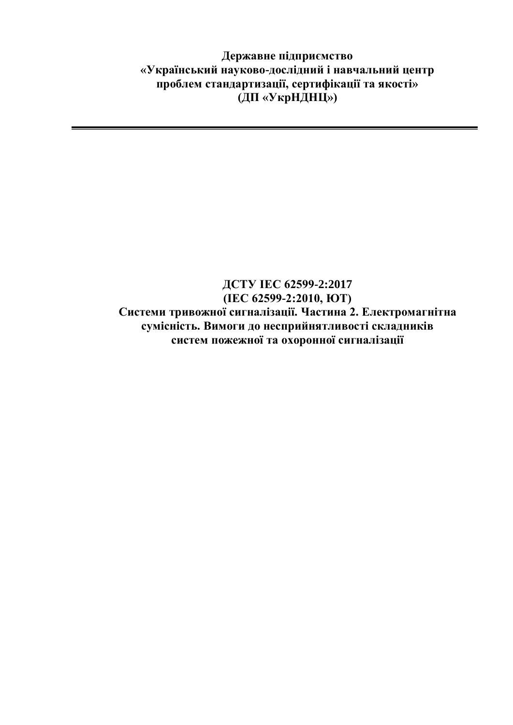**Державне підприємство «Український науково-дослідний і навчальний центр проблем стандартизації, сертифікації та якості» (ДП «УкрНДНЦ»)**

### **ДСТУ ІЕС 62599-2:2017 (ІЕС 62599-2:2010, ЮТ) Системи тривожної сигналізації. Частина 2. Електромагнітна сумісність. Вимоги до несприйнятливості складників систем пожежної та охоронної сигналізації**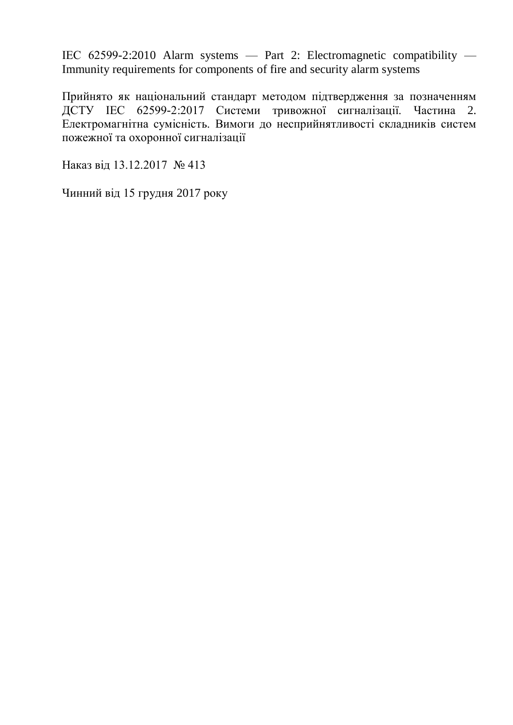ІЕС 62599-2:2010 Alarm systems — Part 2: Electromagnetic compatibility — Immunity requirements for components of fire and security alarm systems

Прийнято як національний стандарт методом підтвердження за позначенням ДСТУ ІЕС 62599-2:2017 Системи тривожної сигналізації. Частина 2. Електромагнітна сумісність. Вимоги до несприйнятливості складників систем пожежної та охоронної сигналізації

Наказ від 13.12.2017 № 413

Чинний від 15 грудня 2017 року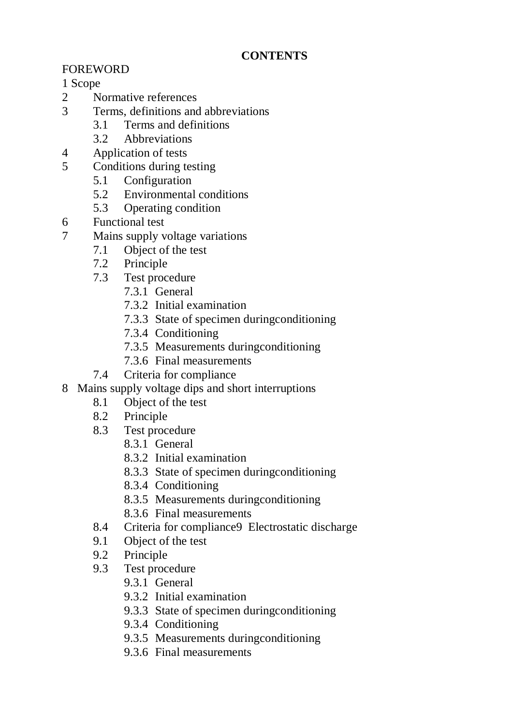# **CONTENTS**

# FOREWORD

### 1 Scope

- 2 Normative references
- 3 Terms, definitions and abbreviations
	- 3.1 Terms and definitions
	- 3.2 Abbreviations
- 4 Application of tests
- 5 Conditions during testing
	- 5.1 Configuration
	- 5.2 Environmental conditions
	- 5.3 Operating condition
- 6 Functional test
- 7 Mains supply voltage variations
	- 7.1 Object of the test
	- 7.2 Principle
	- 7.3 Test procedure
		- 7.3.1 General
		- 7.3.2 Initial examination
		- 7.3.3 State of specimen duringconditioning
		- 7.3.4 Conditioning
		- 7.3.5 Measurements duringconditioning
		- 7.3.6 Final measurements
	- 7.4 Criteria for compliance
- 8 Mains supply voltage dips and short interruptions
	- 8.1 Object of the test
	- 8.2 Principle
	- 8.3 Test procedure
		- 8.3.1 General
		- 8.3.2 Initial examination
		- 8.3.3 State of specimen duringconditioning
		- 8.3.4 Conditioning
		- 8.3.5 Measurements duringconditioning
		- 8.3.6 Final measurements
	- 8.4 Criteria for compliance9 Electrostatic discharge
	- 9.1 Object of the test
	- 9.2 Principle
	- 9.3 Test procedure
		- 9.3.1 General
		- 9.3.2 Initial examination
		- 9.3.3 State of specimen duringconditioning
		- 9.3.4 Conditioning
		- 9.3.5 Measurements duringconditioning
		- 9.3.6 Final measurements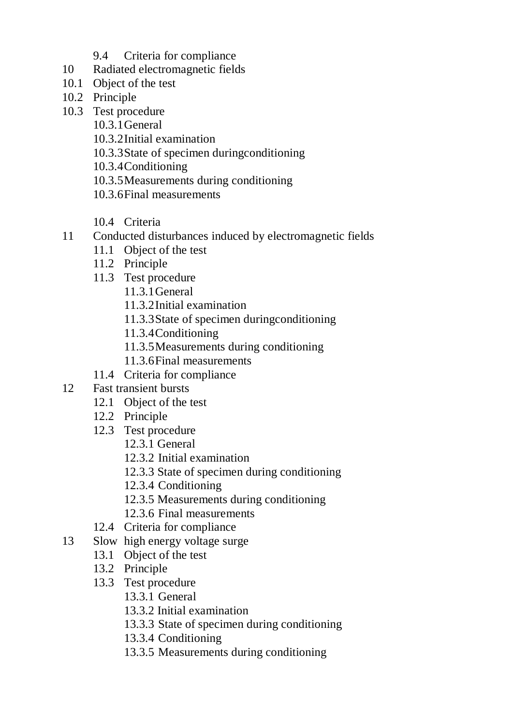- 9.4 Criteria for compliance
- 10 Radiated electromagnetic fields
- 10.1 Object of the test
- 10.2 Principle
- 10.3 Test procedure
	- 10.3.1General
	- 10.3.2Initial examination
	- 10.3.3State of specimen duringconditioning
	- 10.3.4Conditioning
	- 10.3.5Measurements during conditioning
	- 10.3.6Final measurements
	- 10.4 Criteria
- 11 Conducted disturbances induced by electromagnetic fields
	- 11.1 Object of the test
	- 11.2 Principle
	- 11.3 Test procedure
		- 11.3.1General
		- 11.3.2Initial examination
		- 11.3.3State of specimen duringconditioning
		- 11.3.4Conditioning
		- 11.3.5Measurements during conditioning
		- 11.3.6Final measurements
	- 11.4 Criteria for compliance
- 12 Fast transient bursts
	- 12.1 Object of the test
	- 12.2 Principle
	- 12.3 Test procedure
		- 12.3.1 General
		- 12.3.2 Initial examination
		- 12.3.3 State of specimen during conditioning
		- 12.3.4 Conditioning
		- 12.3.5 Measurements during conditioning
		- 12.3.6 Final measurements
	- 12.4 Criteria for compliance
- 13 Slow high energy voltage surge
	- 13.1 Object of the test
		- 13.2 Principle
		- 13.3 Test procedure
			- 13.3.1 General
			- 13.3.2 Initial examination
			- 13.3.3 State of specimen during conditioning
			- 13.3.4 Conditioning
			- 13.3.5 Measurements during conditioning